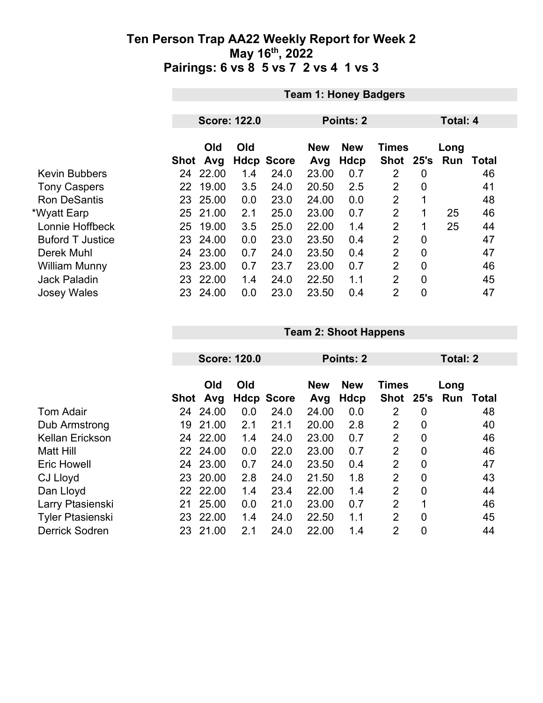|                         |      | <b>Team 1: Honey Badgers</b> |     |                   |                   |                           |                             |                |             |                 |  |  |
|-------------------------|------|------------------------------|-----|-------------------|-------------------|---------------------------|-----------------------------|----------------|-------------|-----------------|--|--|
|                         |      |                              |     |                   |                   |                           |                             |                |             |                 |  |  |
|                         |      | <b>Score: 122.0</b>          |     |                   |                   | Points: 2                 |                             |                |             | <b>Total: 4</b> |  |  |
|                         | Shot | Old<br>Avg                   | Old | <b>Hdcp Score</b> | <b>New</b><br>Avg | <b>New</b><br><b>Hdcp</b> | <b>Times</b><br><b>Shot</b> | 25's           | Long<br>Run | <b>Total</b>    |  |  |
| <b>Kevin Bubbers</b>    | 24   | 22.00                        | 1.4 | 24.0              | 23.00             | 0.7                       | 2                           | 0              |             | 46              |  |  |
| <b>Tony Caspers</b>     | 22   | 19.00                        | 3.5 | 24.0              | 20.50             | 2.5                       | $\overline{2}$              | $\overline{0}$ |             | 41              |  |  |
| <b>Ron DeSantis</b>     | 23.  | 25.00                        | 0.0 | 23.0              | 24.00             | 0.0                       | $\overline{2}$              | 1              |             | 48              |  |  |
| *Wyatt Earp             |      | 25 21.00                     | 2.1 | 25.0              | 23.00             | 0.7                       | $\overline{2}$              | 1              | 25          | 46              |  |  |
| Lonnie Hoffbeck         | 25   | 19.00                        | 3.5 | 25.0              | 22.00             | 1.4                       | $\overline{2}$              | 1              | 25          | 44              |  |  |
| <b>Buford T Justice</b> |      | 23 24.00                     | 0.0 | 23.0              | 23.50             | 0.4                       | $\overline{2}$              | $\overline{0}$ |             | 47              |  |  |
| Derek Muhl              |      | 24 23.00                     | 0.7 | 24.0              | 23.50             | 0.4                       | $\overline{2}$              | $\overline{0}$ |             | 47              |  |  |
| William Munny           | 23   | 23.00                        | 0.7 | 23.7              | 23.00             | 0.7                       | $\overline{2}$              | $\overline{0}$ |             | 46              |  |  |
| <b>Jack Paladin</b>     | 23.  | 22.00                        | 1.4 | 24.0              | 22.50             | 1.1                       | $\overline{2}$              | $\overline{0}$ |             | 45              |  |  |
| <b>Josey Wales</b>      | 23.  | 24.00                        | 0.0 | 23.0              | 23.50             | 0.4                       | $\overline{2}$              | $\mathbf 0$    |             | 47              |  |  |

|                         |      | <b>Score: 120.0</b> |     |                   | Points: 2         |                    |                           |                | Total: 2    |       |  |
|-------------------------|------|---------------------|-----|-------------------|-------------------|--------------------|---------------------------|----------------|-------------|-------|--|
|                         | Shot | Old<br>Avg          | Old | <b>Hdcp Score</b> | <b>New</b><br>Avg | <b>New</b><br>Hdcp | <b>Times</b><br>Shot 25's |                | Long<br>Run | Total |  |
| <b>Tom Adair</b>        | 24   | 24.00               | 0.0 | 24.0              | 24.00             | 0.0                | 2                         | 0              |             | 48    |  |
| Dub Armstrong           | 19   | 21.00               | 2.1 | 21.1              | 20.00             | 2.8                | $\overline{2}$            | 0              |             | 40    |  |
| <b>Kellan Erickson</b>  |      | 24 22.00            | 1.4 | 24.0              | 23.00             | 0.7                | 2                         | 0              |             | 46    |  |
| Matt Hill               | 22   | 24.00               | 0.0 | 22.0              | 23.00             | 0.7                | $\overline{2}$            | $\overline{0}$ |             | 46    |  |
| <b>Eric Howell</b>      | 24   | 23.00               | 0.7 | 24.0              | 23.50             | 0.4                | $\overline{2}$            | $\overline{0}$ |             | 47    |  |
| CJ Lloyd                | 23   | 20.00               | 2.8 | 24.0              | 21.50             | 1.8                | 2                         | 0              |             | 43    |  |
| Dan Lloyd               | 22   | 22.00               | 1.4 | 23.4              | 22.00             | 1.4                | $\overline{2}$            | 0              |             | 44    |  |
| Larry Ptasienski        | 21   | 25.00               | 0.0 | 21.0              | 23.00             | 0.7                | $\overline{2}$            | 1              |             | 46    |  |
| <b>Tyler Ptasienski</b> | 23   | 22.00               | 1.4 | 24.0              | 22.50             | 1.1                | 2                         | 0              |             | 45    |  |
| <b>Derrick Sodren</b>   | 23.  | 21.00               | 2.1 | 24.0              | 22.00             | 1.4                | $\overline{2}$            | 0              |             | 44    |  |

**Team 2: Shoot Happens**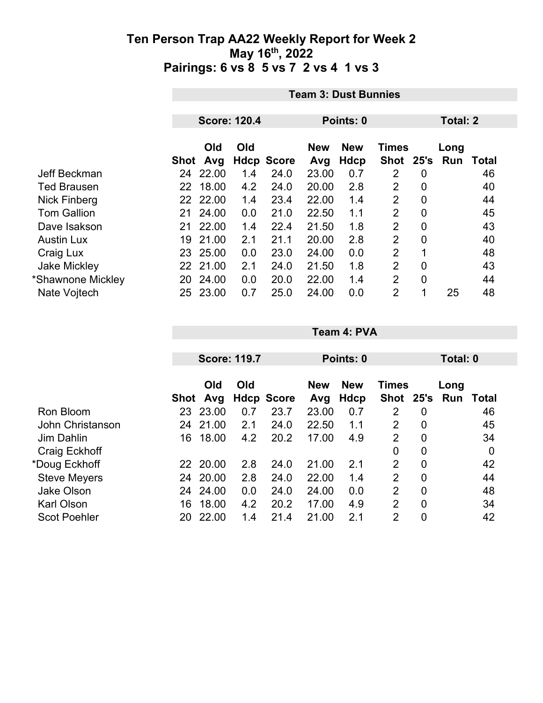|                     | <b>Team 3: Dust Bunnies</b> |                     |     |                           |              |                    |                |                 |      |             |
|---------------------|-----------------------------|---------------------|-----|---------------------------|--------------|--------------------|----------------|-----------------|------|-------------|
|                     |                             | <b>Score: 120.4</b> |     |                           |              | Points: 0          |                | <b>Total: 2</b> |      |             |
|                     |                             | Old                 | Old |                           | <b>New</b>   | <b>New</b>         | <b>Times</b>   |                 | Long |             |
| Jeff Beckman        | <b>Shot</b><br>24           | Avg<br>22.00        | 1.4 | <b>Hdcp Score</b><br>24.0 | Avg<br>23.00 | <b>Hdcp</b><br>0.7 | Shot 25's<br>2 | $\overline{0}$  | Run  | Total<br>46 |
| <b>Ted Brausen</b>  | 22                          | 18.00               | 4.2 | 24.0                      | 20.00        | 2.8                | $\overline{2}$ | $\overline{0}$  |      | 40          |
| Nick Finberg        |                             | 22 22.00            | 1.4 | 23.4                      | 22.00        | 1.4                | $\overline{2}$ | $\overline{0}$  |      | 44          |
| <b>Tom Gallion</b>  | 21                          | 24.00               | 0.0 | 21.0                      | 22.50        | 1.1                | $\overline{2}$ | $\overline{0}$  |      | 45          |
| Dave Isakson        | 21                          | 22.00               | 1.4 | 22.4                      | 21.50        | 1.8                | $\overline{2}$ | $\overline{0}$  |      | 43          |
| <b>Austin Lux</b>   | 19                          | 21.00               | 2.1 | 21.1                      | 20.00        | 2.8                | $\overline{2}$ | $\mathbf 0$     |      | 40          |
| Craig Lux           |                             | 23 25.00            | 0.0 | 23.0                      | 24.00        | 0.0                | $\overline{2}$ | 1               |      | 48          |
| <b>Jake Mickley</b> |                             | 22 21.00            | 2.1 | 24.0                      | 21.50        | 1.8                | $\overline{2}$ | $\overline{0}$  |      | 43          |
| *Shawnone Mickley   | 20                          | 24.00               | 0.0 | 20.0                      | 22.00        | 1.4                | $\overline{2}$ | $\overline{0}$  |      | 44          |
| Nate Vojtech        | 25                          | 23.00               | 0.7 | 25.0                      | 24.00        | 0.0                | $\overline{2}$ | 1               | 25   | 48          |

|                     |           |            | <b>Score: 119.7</b> |                   | Points: 0         |                           |                             |                | Total: 0    |       |  |
|---------------------|-----------|------------|---------------------|-------------------|-------------------|---------------------------|-----------------------------|----------------|-------------|-------|--|
|                     | Shot      | Old<br>Avg | Old                 | <b>Hdcp Score</b> | <b>New</b><br>Avg | <b>New</b><br><b>Hdcp</b> | <b>Times</b><br><b>Shot</b> | 25's           | Long<br>Run | Total |  |
| <b>Ron Bloom</b>    | 23        | 23.00      | 0.7                 | 23.7              | 23.00             | 0.7                       | 2                           | 0              |             | 46    |  |
| John Christanson    | 24        | 21.00      | 2.1                 | 24.0              | 22.50             | 1.1                       | 2                           | 0              |             | 45    |  |
| Jim Dahlin          | 16        | 18.00      | 4.2                 | 20.2              | 17.00             | 4.9                       | 2                           | 0              |             | 34    |  |
| Craig Eckhoff       |           |            |                     |                   |                   |                           | $\overline{0}$              | 0              |             | 0     |  |
| *Doug Eckhoff       | <b>22</b> | 20.00      | 2.8                 | 24.0              | 21.00             | 2.1                       | 2                           | $\overline{0}$ |             | 42    |  |
| <b>Steve Meyers</b> | 24        | 20.00      | 2.8                 | 24.0              | 22.00             | 1.4                       | $\overline{2}$              | $\overline{0}$ |             | 44    |  |
| <b>Jake Olson</b>   | 24        | 24.00      | 0.0                 | 24.0              | 24.00             | 0.0                       | $\overline{2}$              | $\overline{0}$ |             | 48    |  |
| <b>Karl Olson</b>   | 16        | 18.00      | 4.2                 | 20.2              | 17.00             | 4.9                       | $\overline{2}$              | 0              |             | 34    |  |
| <b>Scot Poehler</b> | 20        | 22.00      | 1.4                 | 21.4              | 21.00             | 2.1                       | 2                           | $\overline{0}$ |             | 42    |  |

**Team 4: PVA**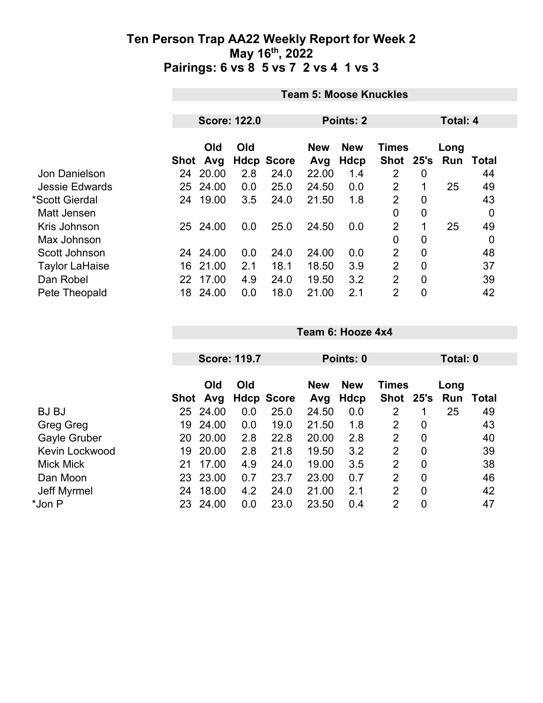|                       | <b>Team 5: Moose Knuckles</b> |                     |             |              |                   |                    |                           |                |                 |       |  |
|-----------------------|-------------------------------|---------------------|-------------|--------------|-------------------|--------------------|---------------------------|----------------|-----------------|-------|--|
|                       |                               |                     |             |              |                   |                    |                           |                |                 |       |  |
|                       |                               | <b>Score: 122.0</b> |             |              | Points: 2         |                    |                           |                | <b>Total: 4</b> |       |  |
|                       | Shot                          | Old<br>Avg          | Old<br>Hdcp | <b>Score</b> | <b>New</b><br>Avg | <b>New</b><br>Hdcp | <b>Times</b><br>Shot 25's |                | Long<br>Run     | Total |  |
| Jon Danielson         | 24                            | 20.00               | 2.8         | 24.0         | 22.00             | 1.4                | 2                         | 0              |                 | 44    |  |
| <b>Jessie Edwards</b> | 25                            | 24.00               | 0.0         | 25.0         | 24.50             | 0.0                | $\overline{2}$            |                | 25              | 49    |  |
| *Scott Gierdal        | 24                            | 19.00               | 3.5         | 24.0         | 21.50             | 1.8                | $\overline{2}$            | $\overline{0}$ |                 | 43    |  |
| Matt Jensen           |                               |                     |             |              |                   |                    | $\mathbf 0$               | $\overline{0}$ |                 | 0     |  |
| Kris Johnson          |                               | 25 24.00            | 0.0         | 25.0         | 24.50             | 0.0                | $\overline{2}$            | 1              | 25              | 49    |  |
| Max Johnson           |                               |                     |             |              |                   |                    | $\mathbf 0$               | 0              |                 | 0     |  |
| Scott Johnson         |                               | 24 24.00            | 0.0         | 24.0         | 24.00             | 0.0                | 2                         | $\overline{0}$ |                 | 48    |  |
| <b>Taylor LaHaise</b> | 16                            | 21.00               | 2.1         | 18.1         | 18.50             | 3.9                | $\overline{2}$            | $\overline{0}$ |                 | 37    |  |
| Dan Robel             | 22                            | 17.00               | 4.9         | 24.0         | 19.50             | 3.2                | $\overline{2}$            | $\overline{0}$ |                 | 39    |  |
| Pete Theopald         | 18                            | 24.00               | 0.0         | 18.0         | 21.00             | 2.1                | $\overline{2}$            | $\overline{0}$ |                 | 42    |  |

|                       | <b>Score: 119.7</b> |                 |     |                   |                   |                    |                           |                |             |       |  |
|-----------------------|---------------------|-----------------|-----|-------------------|-------------------|--------------------|---------------------------|----------------|-------------|-------|--|
|                       |                     |                 |     |                   | Points: 0         |                    |                           |                | Total: 0    |       |  |
|                       |                     | Old<br>Shot Avg | Old | <b>Hdcp Score</b> | <b>New</b><br>Avg | <b>New</b><br>Hdcp | <b>Times</b><br>Shot 25's |                | Long<br>Run | Total |  |
| <b>BJ BJ</b>          | 25                  | 24.00           | 0.0 | 25.0              | 24.50             | 0.0                | 2                         |                | 25          | 49    |  |
| Greg Greg             | 19                  | 24.00           | 0.0 | 19.0              | 21.50             | 1.8                | 2                         | 0              |             | 43    |  |
| Gayle Gruber          | 20                  | 20.00           | 2.8 | 22.8              | 20.00             | 2.8                | 2                         | 0              |             | 40    |  |
| <b>Kevin Lockwood</b> | 19                  | 20.00           | 2.8 | 21.8              | 19.50             | 3.2                | 2                         | $\overline{0}$ |             | 39    |  |
| <b>Mick Mick</b>      | 21                  | 17.00           | 4.9 | 24.0              | 19.00             | 3.5                | 2                         | $\overline{0}$ |             | 38    |  |
| Dan Moon              | 23                  | 23.00           | 0.7 | 23.7              | 23.00             | 0.7                | 2                         | $\overline{0}$ |             | 46    |  |
| Jeff Myrmel           | 24                  | 18.00           | 4.2 | 24.0              | 21.00             | 2.1                | 2                         | $\overline{0}$ |             | 42    |  |
| *Jon P                | 23                  | 24.00           | 0.0 | 23.0              | 23.50             | 0.4                | 2                         | 0              |             | 47    |  |

**Team 6: Hooze 4x4**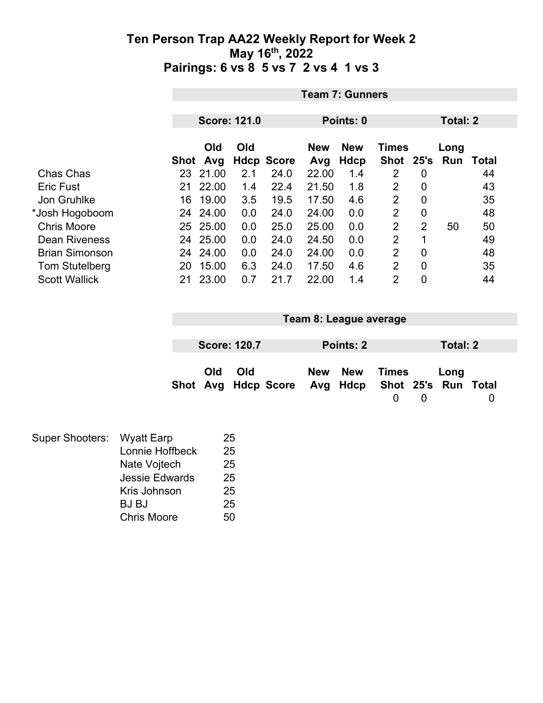|                       |                     |          |     |                   | <b>Team 7: Gunners</b> |            |                 |                |      |       |  |  |
|-----------------------|---------------------|----------|-----|-------------------|------------------------|------------|-----------------|----------------|------|-------|--|--|
|                       |                     |          |     |                   |                        |            |                 |                |      |       |  |  |
|                       | <b>Score: 121.0</b> |          |     |                   | Points: 0              |            | <b>Total: 2</b> |                |      |       |  |  |
|                       |                     | Old      | Old |                   | <b>New</b>             | <b>New</b> | <b>Times</b>    |                | Long |       |  |  |
|                       | Shot                | Avg      |     | <b>Hdcp Score</b> | Avg                    | Hdcp       | <b>Shot</b>     | 25's           | Run  | Total |  |  |
| Chas Chas             | 23                  | 21.00    | 2.1 | 24.0              | 22.00                  | 1.4        | 2               | 0              |      | 44    |  |  |
| <b>Eric Fust</b>      | 21                  | 22.00    | 1.4 | 22.4              | 21.50                  | 1.8        | $\overline{2}$  | 0              |      | 43    |  |  |
| Jon Gruhlke           | 16                  | 19.00    | 3.5 | 19.5              | 17.50                  | 4.6        | $\overline{2}$  | 0              |      | 35    |  |  |
| *Josh Hogoboom        | 24                  | 24.00    | 0.0 | 24.0              | 24.00                  | 0.0        | 2               | 0              |      | 48    |  |  |
| <b>Chris Moore</b>    |                     | 25 25.00 | 0.0 | 25.0              | 25.00                  | 0.0        | $\overline{2}$  | $\overline{2}$ | 50   | 50    |  |  |
| <b>Dean Riveness</b>  | 24                  | 25.00    | 0.0 | 24.0              | 24.50                  | 0.0        | 2               | 1              |      | 49    |  |  |
| <b>Brian Simonson</b> | 24                  | 24.00    | 0.0 | 24.0              | 24.00                  | 0.0        | 2               | 0              |      | 48    |  |  |
| <b>Tom Stutelberg</b> | 20                  | 15.00    | 6.3 | 24.0              | 17.50                  | 4.6        | $\overline{2}$  | 0              |      | 35    |  |  |
| <b>Scott Wallick</b>  | 21                  | 23.00    | 0.7 | 21.7              | 22.00                  | 1.4        | $\overline{2}$  | 0              |      | 44    |  |  |

|                                                                | Team 8: League average |          |
|----------------------------------------------------------------|------------------------|----------|
|                                                                |                        |          |
| <b>Score: 120.7</b>                                            | Points: 2              | Total: 2 |
| Old<br>Old<br>Shot Avg Hdcp Score Avg Hdcp Shot 25's Run Total | New New<br>Times       | Long     |

| Super Shooters: Wyatt Earp |                       | 25 |
|----------------------------|-----------------------|----|
|                            | Lonnie Hoffbeck       | 25 |
|                            | Nate Vojtech          | 25 |
|                            | <b>Jessie Edwards</b> | 25 |
|                            | Kris Johnson          | 25 |
|                            | <b>BJ BJ</b>          | 25 |
|                            | <b>Chris Moore</b>    | 50 |
|                            |                       |    |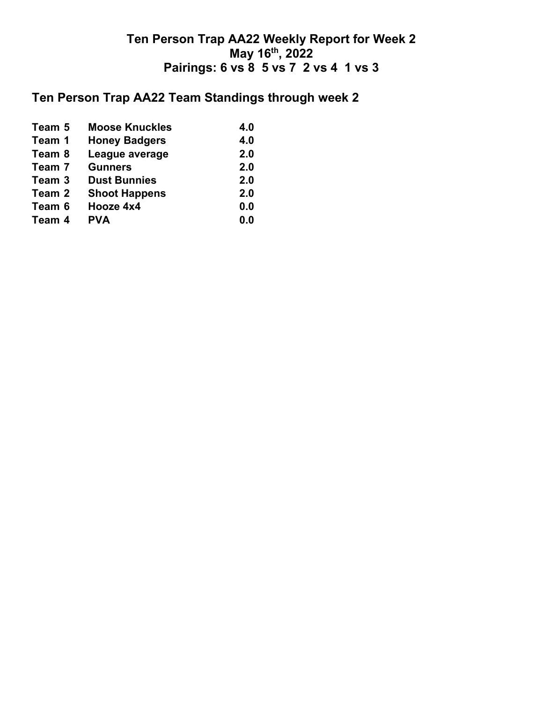## **Ten Person Trap AA22 Team Standings through week 2**

| Team 5 | <b>Moose Knuckles</b> | 4.0 |
|--------|-----------------------|-----|
| Team 1 | <b>Honey Badgers</b>  | 4.0 |
| Team 8 | League average        | 2.0 |
| Team 7 | <b>Gunners</b>        | 2.0 |
| Team 3 | <b>Dust Bunnies</b>   | 2.0 |
| Team 2 | <b>Shoot Happens</b>  | 2.0 |
| Team 6 | Hooze 4x4             | 0.0 |
| Team 4 | <b>PVA</b>            | 0.0 |
|        |                       |     |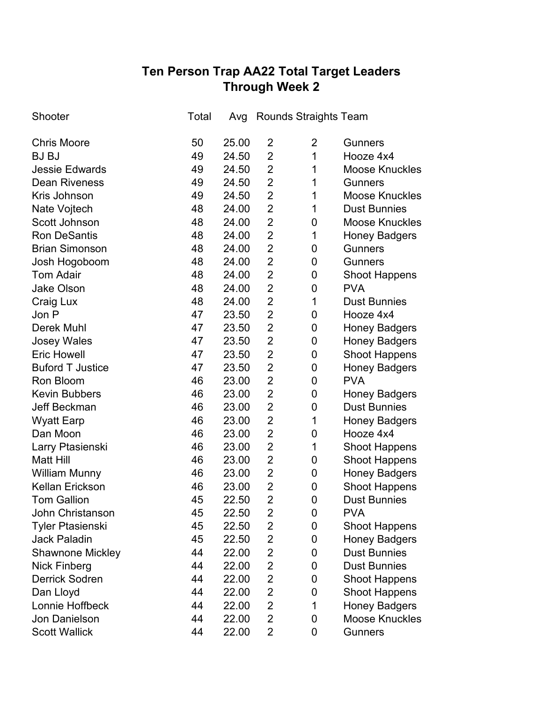# **Ten Person Trap AA22 Total Target Leaders Through Week 2**

| Shooter                 | Total | Avg   |                | <b>Rounds Straights Team</b> |                       |
|-------------------------|-------|-------|----------------|------------------------------|-----------------------|
| <b>Chris Moore</b>      | 50    | 25.00 | 2              | $\overline{2}$               | <b>Gunners</b>        |
| <b>BJ BJ</b>            | 49    | 24.50 | $\overline{2}$ | 1                            | Hooze 4x4             |
| <b>Jessie Edwards</b>   | 49    | 24.50 | $\overline{2}$ | 1                            | Moose Knuckles        |
| <b>Dean Riveness</b>    | 49    | 24.50 | $\overline{2}$ | 1                            | <b>Gunners</b>        |
| Kris Johnson            | 49    | 24.50 | $\overline{2}$ | 1                            | <b>Moose Knuckles</b> |
| Nate Vojtech            | 48    | 24.00 | $\overline{2}$ | 1                            | <b>Dust Bunnies</b>   |
| Scott Johnson           | 48    | 24.00 | $\overline{2}$ | 0                            | <b>Moose Knuckles</b> |
| <b>Ron DeSantis</b>     | 48    | 24.00 | $\overline{2}$ | 1                            | <b>Honey Badgers</b>  |
| <b>Brian Simonson</b>   | 48    | 24.00 | $\overline{2}$ | 0                            | <b>Gunners</b>        |
| Josh Hogoboom           | 48    | 24.00 | $\overline{2}$ | 0                            | <b>Gunners</b>        |
| <b>Tom Adair</b>        | 48    | 24.00 | $\overline{2}$ | 0                            | <b>Shoot Happens</b>  |
| <b>Jake Olson</b>       | 48    | 24.00 | $\overline{2}$ | 0                            | <b>PVA</b>            |
| Craig Lux               | 48    | 24.00 | $\overline{2}$ | $\mathbf 1$                  | <b>Dust Bunnies</b>   |
| Jon P                   | 47    | 23.50 | $\overline{2}$ | 0                            | Hooze 4x4             |
| Derek Muhl              | 47    | 23.50 | $\overline{2}$ | 0                            | <b>Honey Badgers</b>  |
| <b>Josey Wales</b>      | 47    | 23.50 | $\overline{2}$ | 0                            | <b>Honey Badgers</b>  |
| <b>Eric Howell</b>      | 47    | 23.50 | $\overline{2}$ | 0                            | <b>Shoot Happens</b>  |
| <b>Buford T Justice</b> | 47    | 23.50 | $\overline{2}$ | 0                            | <b>Honey Badgers</b>  |
| Ron Bloom               | 46    | 23.00 | $\overline{2}$ | 0                            | <b>PVA</b>            |
| <b>Kevin Bubbers</b>    | 46    | 23.00 | $\overline{2}$ | 0                            | <b>Honey Badgers</b>  |
| Jeff Beckman            | 46    | 23.00 | $\overline{2}$ | 0                            | <b>Dust Bunnies</b>   |
| <b>Wyatt Earp</b>       | 46    | 23.00 | $\overline{2}$ | 1                            | <b>Honey Badgers</b>  |
| Dan Moon                | 46    | 23.00 | $\overline{2}$ | 0                            | Hooze 4x4             |
| Larry Ptasienski        | 46    | 23.00 | $\overline{2}$ | 1                            | <b>Shoot Happens</b>  |
| <b>Matt Hill</b>        | 46    | 23.00 | $\overline{2}$ | 0                            | <b>Shoot Happens</b>  |
| <b>William Munny</b>    | 46    | 23.00 | $\overline{2}$ | 0                            | <b>Honey Badgers</b>  |
| <b>Kellan Erickson</b>  | 46    | 23.00 | $\overline{2}$ | 0                            | <b>Shoot Happens</b>  |
| <b>Tom Gallion</b>      | 45    | 22.50 | $\overline{2}$ | 0                            | <b>Dust Bunnies</b>   |
| John Christanson        | 45    | 22.50 | 2              | 0                            | <b>PVA</b>            |
| <b>Tyler Ptasienski</b> | 45    | 22.50 | $\overline{2}$ | 0                            | <b>Shoot Happens</b>  |
| <b>Jack Paladin</b>     | 45    | 22.50 | $\overline{2}$ | 0                            | <b>Honey Badgers</b>  |
| <b>Shawnone Mickley</b> | 44    | 22.00 | $\overline{2}$ | 0                            | <b>Dust Bunnies</b>   |
| <b>Nick Finberg</b>     | 44    | 22.00 | $\overline{2}$ | 0                            | <b>Dust Bunnies</b>   |
| <b>Derrick Sodren</b>   | 44    | 22.00 | $\overline{2}$ | 0                            | <b>Shoot Happens</b>  |
| Dan Lloyd               | 44    | 22.00 | $\overline{2}$ | 0                            | <b>Shoot Happens</b>  |
| Lonnie Hoffbeck         | 44    | 22.00 | $\overline{2}$ | $\mathbf 1$                  | <b>Honey Badgers</b>  |
| Jon Danielson           | 44    | 22.00 | $\overline{2}$ | 0                            | <b>Moose Knuckles</b> |
| <b>Scott Wallick</b>    | 44    | 22.00 | $\overline{2}$ | 0                            | <b>Gunners</b>        |